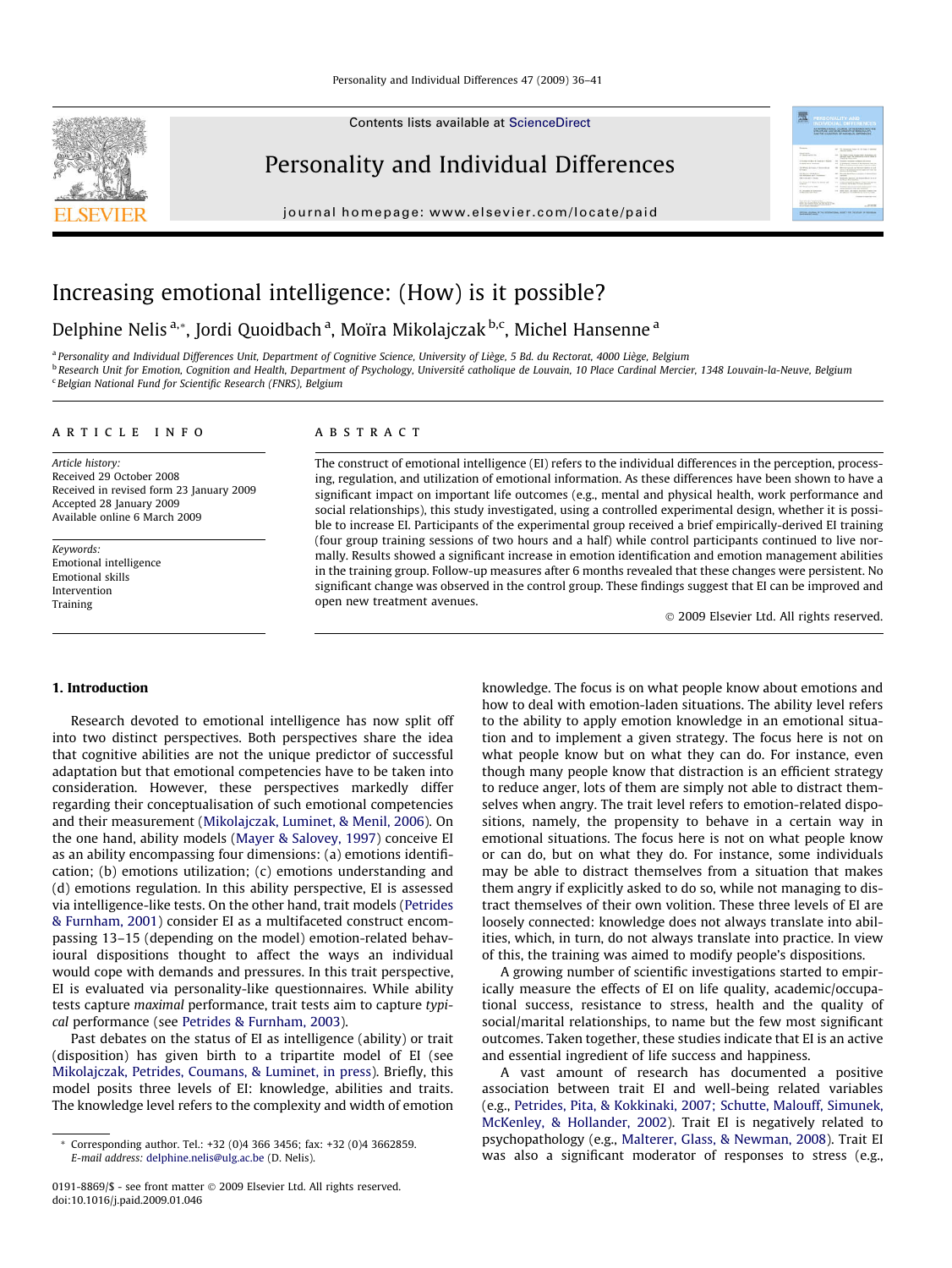Contents lists available at [ScienceDirect](http://www.sciencedirect.com/science/journal/01918869)

# Personality and Individual Differences

journal homepage: [www.elsevier.com/locate/paid](http://www.elsevier.com/locate/paid)



# Increasing emotional intelligence: (How) is it possible?

# Delphine Nelis<sup>a,</sup>\*, Jordi Quoidbach<sup>a</sup>, Moïra Mikolajczak<sup>b,c</sup>, Michel Hansenne<sup>a</sup>

a Personality and Individual Differences Unit, Department of Cognitive Science, University of Liège, 5 Bd. du Rectorat, 4000 Liège, Belgium b Research Unit for Emotion, Cognition and Health, Department of Psychology, Université catholique de Louvain, 10 Place Cardinal Mercier, 1348 Louvain-la-Neuve, Belgium <sup>c</sup> Belgian National Fund for Scientific Research (FNRS), Belgium

# article info

Article history: Received 29 October 2008 Received in revised form 23 January 2009 Accepted 28 January 2009 Available online 6 March 2009

Keywords: Emotional intelligence Emotional skills Intervention Training

# **ABSTRACT**

The construct of emotional intelligence (EI) refers to the individual differences in the perception, processing, regulation, and utilization of emotional information. As these differences have been shown to have a significant impact on important life outcomes (e.g., mental and physical health, work performance and social relationships), this study investigated, using a controlled experimental design, whether it is possible to increase EI. Participants of the experimental group received a brief empirically-derived EI training (four group training sessions of two hours and a half) while control participants continued to live normally. Results showed a significant increase in emotion identification and emotion management abilities in the training group. Follow-up measures after 6 months revealed that these changes were persistent. No significant change was observed in the control group. These findings suggest that EI can be improved and open new treatment avenues.

- 2009 Elsevier Ltd. All rights reserved.

## 1. Introduction

Research devoted to emotional intelligence has now split off into two distinct perspectives. Both perspectives share the idea that cognitive abilities are not the unique predictor of successful adaptation but that emotional competencies have to be taken into consideration. However, these perspectives markedly differ regarding their conceptualisation of such emotional competencies and their measurement [\(Mikolajczak, Luminet, & Menil, 2006\)](#page-5-0). On the one hand, ability models ([Mayer & Salovey, 1997](#page-5-0)) conceive EI as an ability encompassing four dimensions: (a) emotions identification; (b) emotions utilization; (c) emotions understanding and (d) emotions regulation. In this ability perspective, EI is assessed via intelligence-like tests. On the other hand, trait models [\(Petrides](#page-5-0) [& Furnham, 2001\)](#page-5-0) consider EI as a multifaceted construct encompassing 13–15 (depending on the model) emotion-related behavioural dispositions thought to affect the ways an individual would cope with demands and pressures. In this trait perspective, EI is evaluated via personality-like questionnaires. While ability tests capture maximal performance, trait tests aim to capture typical performance (see [Petrides & Furnham, 2003](#page-5-0)).

Past debates on the status of EI as intelligence (ability) or trait (disposition) has given birth to a tripartite model of EI (see [Mikolajczak, Petrides, Coumans, & Luminet, in press](#page-5-0)). Briefly, this model posits three levels of EI: knowledge, abilities and traits. The knowledge level refers to the complexity and width of emotion knowledge. The focus is on what people know about emotions and how to deal with emotion-laden situations. The ability level refers to the ability to apply emotion knowledge in an emotional situation and to implement a given strategy. The focus here is not on what people know but on what they can do. For instance, even though many people know that distraction is an efficient strategy to reduce anger, lots of them are simply not able to distract themselves when angry. The trait level refers to emotion-related dispositions, namely, the propensity to behave in a certain way in emotional situations. The focus here is not on what people know or can do, but on what they do. For instance, some individuals may be able to distract themselves from a situation that makes them angry if explicitly asked to do so, while not managing to distract themselves of their own volition. These three levels of EI are loosely connected: knowledge does not always translate into abilities, which, in turn, do not always translate into practice. In view of this, the training was aimed to modify people's dispositions.

A growing number of scientific investigations started to empirically measure the effects of EI on life quality, academic/occupational success, resistance to stress, health and the quality of social/marital relationships, to name but the few most significant outcomes. Taken together, these studies indicate that EI is an active and essential ingredient of life success and happiness.

A vast amount of research has documented a positive association between trait EI and well-being related variables (e.g., [Petrides, Pita, & Kokkinaki, 2007; Schutte, Malouff, Simunek,](#page-5-0) [McKenley, & Hollander, 2002\)](#page-5-0). Trait EI is negatively related to psychopathology (e.g., [Malterer, Glass, & Newman, 2008](#page-5-0)). Trait EI was also a significant moderator of responses to stress (e.g.,



<sup>\*</sup> Corresponding author. Tel.: +32 (0)4 366 3456; fax: +32 (0)4 3662859. E-mail address: [delphine.nelis@ulg.ac.be](mailto:delphine.nelis@ulg.ac.be) (D. Nelis).

<sup>0191-8869/\$ -</sup> see front matter © 2009 Elsevier Ltd. All rights reserved. doi:10.1016/j.paid.2009.01.046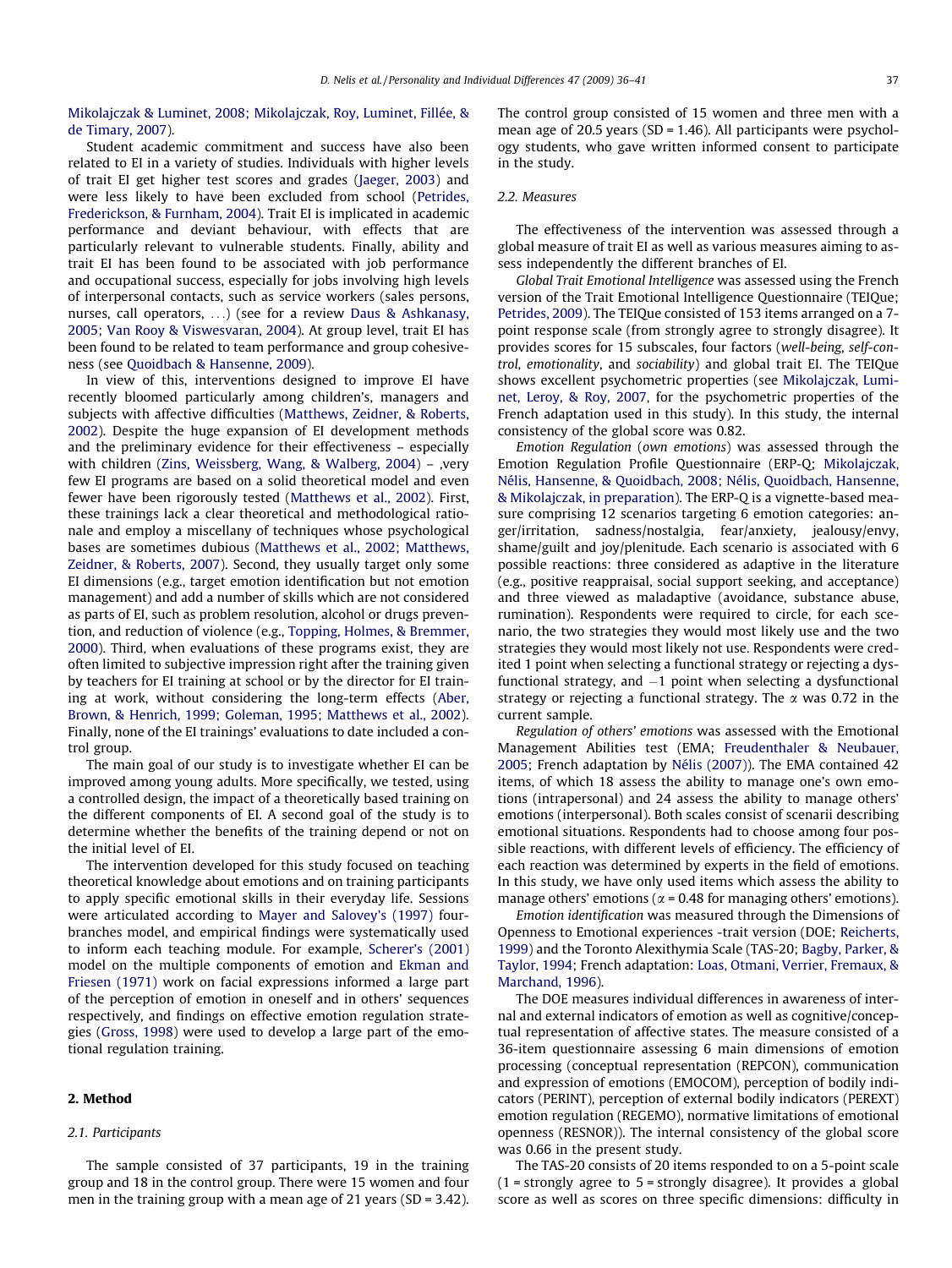[Mikolajczak & Luminet, 2008; Mikolajczak, Roy, Luminet, Fillée, &](#page-5-0) [de Timary, 2007](#page-5-0)).

Student academic commitment and success have also been related to EI in a variety of studies. Individuals with higher levels of trait EI get higher test scores and grades ([Jaeger, 2003\)](#page-5-0) and were less likely to have been excluded from school [\(Petrides,](#page-5-0) [Frederickson, & Furnham, 2004](#page-5-0)). Trait EI is implicated in academic performance and deviant behaviour, with effects that are particularly relevant to vulnerable students. Finally, ability and trait EI has been found to be associated with job performance and occupational success, especially for jobs involving high levels of interpersonal contacts, such as service workers (sales persons, nurses, call operators, ...) (see for a review [Daus & Ashkanasy,](#page-5-0) [2005; Van Rooy & Viswesvaran, 2004\)](#page-5-0). At group level, trait EI has been found to be related to team performance and group cohesiveness (see [Quoidbach & Hansenne, 2009\)](#page-5-0).

In view of this, interventions designed to improve EI have recently bloomed particularly among children's, managers and subjects with affective difficulties ([Matthews, Zeidner, & Roberts,](#page-5-0) [2002](#page-5-0)). Despite the huge expansion of EI development methods and the preliminary evidence for their effectiveness – especially with children [\(Zins, Weissberg, Wang, & Walberg, 2004](#page-5-0)) – ,very few EI programs are based on a solid theoretical model and even fewer have been rigorously tested ([Matthews et al., 2002\)](#page-5-0). First, these trainings lack a clear theoretical and methodological rationale and employ a miscellany of techniques whose psychological bases are sometimes dubious ([Matthews et al., 2002; Matthews,](#page-5-0) [Zeidner, & Roberts, 2007\)](#page-5-0). Second, they usually target only some EI dimensions (e.g., target emotion identification but not emotion management) and add a number of skills which are not considered as parts of EI, such as problem resolution, alcohol or drugs prevention, and reduction of violence (e.g., [Topping, Holmes, & Bremmer,](#page-5-0) [2000](#page-5-0)). Third, when evaluations of these programs exist, they are often limited to subjective impression right after the training given by teachers for EI training at school or by the director for EI training at work, without considering the long-term effects ([Aber,](#page-5-0) [Brown, & Henrich, 1999; Goleman, 1995; Matthews et al., 2002\)](#page-5-0). Finally, none of the EI trainings' evaluations to date included a control group.

The main goal of our study is to investigate whether EI can be improved among young adults. More specifically, we tested, using a controlled design, the impact of a theoretically based training on the different components of EI. A second goal of the study is to determine whether the benefits of the training depend or not on the initial level of EI.

The intervention developed for this study focused on teaching theoretical knowledge about emotions and on training participants to apply specific emotional skills in their everyday life. Sessions were articulated according to [Mayer and Salovey's \(1997\)](#page-5-0) fourbranches model, and empirical findings were systematically used to inform each teaching module. For example, [Scherer's \(2001\)](#page-5-0) model on the multiple components of emotion and [Ekman and](#page-5-0) [Friesen \(1971\)](#page-5-0) work on facial expressions informed a large part of the perception of emotion in oneself and in others' sequences respectively, and findings on effective emotion regulation strategies [\(Gross, 1998](#page-5-0)) were used to develop a large part of the emotional regulation training.

# 2. Method

# 2.1. Participants

The sample consisted of 37 participants, 19 in the training group and 18 in the control group. There were 15 women and four men in the training group with a mean age of 21 years (SD = 3.42).

The control group consisted of 15 women and three men with a mean age of 20.5 years ( $SD = 1.46$ ). All participants were psychology students, who gave written informed consent to participate in the study.

# 2.2. Measures

The effectiveness of the intervention was assessed through a global measure of trait EI as well as various measures aiming to assess independently the different branches of EI.

Global Trait Emotional Intelligence was assessed using the French version of the Trait Emotional Intelligence Questionnaire (TEIQue; [Petrides, 2009\)](#page-5-0). The TEIQue consisted of 153 items arranged on a 7 point response scale (from strongly agree to strongly disagree). It provides scores for 15 subscales, four factors (well-being, self-control, emotionality, and sociability) and global trait EI. The TEIQue shows excellent psychometric properties (see [Mikolajczak, Lumi](#page-5-0)[net, Leroy, & Roy, 2007,](#page-5-0) for the psychometric properties of the French adaptation used in this study). In this study, the internal consistency of the global score was 0.82.

Emotion Regulation (own emotions) was assessed through the Emotion Regulation Profile Questionnaire (ERP-Q; [Mikolajczak,](#page-5-0) [Nélis, Hansenne, & Quoidbach, 2008; Nélis, Quoidbach, Hansenne,](#page-5-0) [& Mikolajczak, in preparation](#page-5-0)). The ERP-Q is a vignette-based measure comprising 12 scenarios targeting 6 emotion categories: anger/irritation, sadness/nostalgia, fear/anxiety, jealousy/envy, shame/guilt and joy/plenitude. Each scenario is associated with 6 possible reactions: three considered as adaptive in the literature (e.g., positive reappraisal, social support seeking, and acceptance) and three viewed as maladaptive (avoidance, substance abuse, rumination). Respondents were required to circle, for each scenario, the two strategies they would most likely use and the two strategies they would most likely not use. Respondents were credited 1 point when selecting a functional strategy or rejecting a dysfunctional strategy, and  $-1$  point when selecting a dysfunctional strategy or rejecting a functional strategy. The  $\alpha$  was 0.72 in the current sample.

Regulation of others' emotions was assessed with the Emotional Management Abilities test (EMA; [Freudenthaler & Neubauer,](#page-5-0) [2005](#page-5-0); French adaptation by [Nélis \(2007\)](#page-5-0)). The EMA contained 42 items, of which 18 assess the ability to manage one's own emotions (intrapersonal) and 24 assess the ability to manage others' emotions (interpersonal). Both scales consist of scenarii describing emotional situations. Respondents had to choose among four possible reactions, with different levels of efficiency. The efficiency of each reaction was determined by experts in the field of emotions. In this study, we have only used items which assess the ability to manage others' emotions ( $\alpha$  = 0.48 for managing others' emotions).

Emotion identification was measured through the Dimensions of Openness to Emotional experiences -trait version (DOE; [Reicherts,](#page-5-0) [1999\)](#page-5-0) and the Toronto Alexithymia Scale (TAS-20; [Bagby, Parker, &](#page-5-0) [Taylor, 1994](#page-5-0); French adaptation: [Loas, Otmani, Verrier, Fremaux, &](#page-5-0) [Marchand, 1996](#page-5-0)).

The DOE measures individual differences in awareness of internal and external indicators of emotion as well as cognitive/conceptual representation of affective states. The measure consisted of a 36-item questionnaire assessing 6 main dimensions of emotion processing (conceptual representation (REPCON), communication and expression of emotions (EMOCOM), perception of bodily indicators (PERINT), perception of external bodily indicators (PEREXT) emotion regulation (REGEMO), normative limitations of emotional openness (RESNOR)). The internal consistency of the global score was 0.66 in the present study.

The TAS-20 consists of 20 items responded to on a 5-point scale  $(1 =$  strongly agree to  $5 =$  strongly disagree). It provides a global score as well as scores on three specific dimensions: difficulty in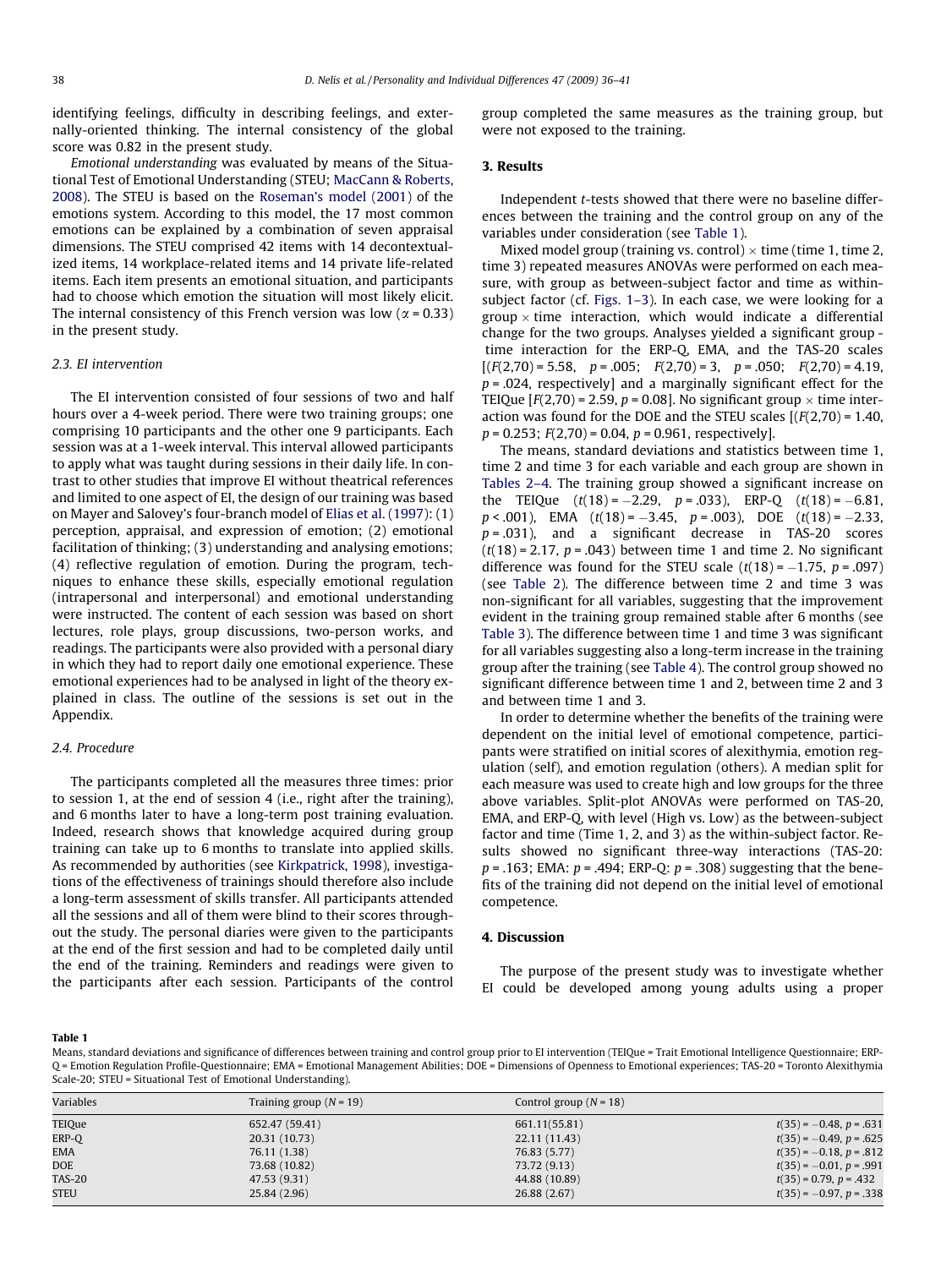identifying feelings, difficulty in describing feelings, and externally-oriented thinking. The internal consistency of the global score was 0.82 in the present study.

Emotional understanding was evaluated by means of the Situational Test of Emotional Understanding (STEU; [MacCann & Roberts,](#page-5-0) [2008\)](#page-5-0). The STEU is based on the [Roseman's model \(2001\)](#page-5-0) of the emotions system. According to this model, the 17 most common emotions can be explained by a combination of seven appraisal dimensions. The STEU comprised 42 items with 14 decontextualized items, 14 workplace-related items and 14 private life-related items. Each item presents an emotional situation, and participants had to choose which emotion the situation will most likely elicit. The internal consistency of this French version was low ( $\alpha$  = 0.33) in the present study.

#### 2.3. EI intervention

The EI intervention consisted of four sessions of two and half hours over a 4-week period. There were two training groups; one comprising 10 participants and the other one 9 participants. Each session was at a 1-week interval. This interval allowed participants to apply what was taught during sessions in their daily life. In contrast to other studies that improve EI without theatrical references and limited to one aspect of EI, the design of our training was based on Mayer and Salovey's four-branch model of [Elias et al. \(1997\)](#page-5-0): (1) perception, appraisal, and expression of emotion; (2) emotional facilitation of thinking; (3) understanding and analysing emotions; (4) reflective regulation of emotion. During the program, techniques to enhance these skills, especially emotional regulation (intrapersonal and interpersonal) and emotional understanding were instructed. The content of each session was based on short lectures, role plays, group discussions, two-person works, and readings. The participants were also provided with a personal diary in which they had to report daily one emotional experience. These emotional experiences had to be analysed in light of the theory explained in class. The outline of the sessions is set out in the Appendix.

#### 2.4. Procedure

The participants completed all the measures three times: prior to session 1, at the end of session 4 (i.e., right after the training), and 6 months later to have a long-term post training evaluation. Indeed, research shows that knowledge acquired during group training can take up to 6 months to translate into applied skills. As recommended by authorities (see [Kirkpatrick, 1998](#page-5-0)), investigations of the effectiveness of trainings should therefore also include a long-term assessment of skills transfer. All participants attended all the sessions and all of them were blind to their scores throughout the study. The personal diaries were given to the participants at the end of the first session and had to be completed daily until the end of the training. Reminders and readings were given to the participants after each session. Participants of the control group completed the same measures as the training group, but were not exposed to the training.

#### 3. Results

Independent t-tests showed that there were no baseline differences between the training and the control group on any of the variables under consideration (see Table 1).

Mixed model group (training vs. control)  $\times$  time (time 1, time 2, time 3) repeated measures ANOVAs were performed on each measure, with group as between-subject factor and time as withinsubject factor (cf. [Figs. 1–3](#page-3-0)). In each case, we were looking for a group  $\times$  time interaction, which would indicate a differential change for the two groups. Analyses yielded a significant group time interaction for the ERP-Q, EMA, and the TAS-20 scales  $[(F(2,70) = 5.58, p = .005; F(2,70) = 3, p = .050; F(2,70) = 4.19,$  $p = .024$ , respectively] and a marginally significant effect for the TEIQue  $[F(2,70) = 2.59, p = 0.08]$ . No significant group  $\times$  time interaction was found for the DOE and the STEU scales  $[(F(2,70) = 1.40,$  $p = 0.253$ ;  $F(2,70) = 0.04$ ,  $p = 0.961$ , respectively].

The means, standard deviations and statistics between time 1, time 2 and time 3 for each variable and each group are shown in [Tables 2–4.](#page-3-0) The training group showed a significant increase on the TEIQue  $(t(18) = -2.29, p = .033)$ , ERP-Q  $(t(18) = -6.81,$  $p < .001$ ), EMA  $(t(18) = -3.45, p = .003)$ , DOE  $(t(18) = -2.33$  $p = .031$ ), and a significant decrease in TAS-20 scores  $(t(18) = 2.17, p = .043)$  between time 1 and time 2. No significant difference was found for the STEU scale  $(t(18) = -1.75, p = .097)$ (see [Table 2\)](#page-3-0). The difference between time 2 and time 3 was non-significant for all variables, suggesting that the improvement evident in the training group remained stable after 6 months (see [Table 3](#page-3-0)). The difference between time 1 and time 3 was significant for all variables suggesting also a long-term increase in the training group after the training (see [Table 4](#page-3-0)). The control group showed no significant difference between time 1 and 2, between time 2 and 3 and between time 1 and 3.

In order to determine whether the benefits of the training were dependent on the initial level of emotional competence, participants were stratified on initial scores of alexithymia, emotion regulation (self), and emotion regulation (others). A median split for each measure was used to create high and low groups for the three above variables. Split-plot ANOVAs were performed on TAS-20, EMA, and ERP-Q, with level (High vs. Low) as the between-subject factor and time (Time 1, 2, and 3) as the within-subject factor. Results showed no significant three-way interactions (TAS-20:  $p = .163$ ; EMA:  $p = .494$ ; ERP-Q:  $p = .308$ ) suggesting that the benefits of the training did not depend on the initial level of emotional competence.

# 4. Discussion

The purpose of the present study was to investigate whether EI could be developed among young adults using a proper

#### Table 1

Means, standard deviations and significance of differences between training and control group prior to EI intervention (TEIQue = Trait Emotional Intelligence Questionnaire; ERP-Q = Emotion Regulation Profile-Questionnaire; EMA = Emotional Management Abilities; DOE = Dimensions of Openness to Emotional experiences; TAS-20 = Toronto Alexithymia Scale-20; STEU = Situational Test of Emotional Understanding).

| Variables     | Training group $(N = 19)$ | Control group $(N = 18)$ |                              |
|---------------|---------------------------|--------------------------|------------------------------|
| TEIQue        | 652.47 (59.41)            | 661.11(55.81)            | $t(35) = -0.48$ , $p = .631$ |
| ERP-Q         | 20.31 (10.73)             | 22.11 (11.43)            | $t(35) = -0.49$ , $p = .625$ |
| <b>EMA</b>    | 76.11 (1.38)              | 76.83 (5.77)             | $t(35) = -0.18$ , $p = .812$ |
| <b>DOE</b>    | 73.68 (10.82)             | 73.72 (9.13)             | $t(35) = -0.01$ , $p = .991$ |
| <b>TAS-20</b> | 47.53 (9.31)              | 44.88 (10.89)            | $t(35) = 0.79$ , $p = .432$  |
| <b>STEU</b>   | 25.84 (2.96)              | 26.88 (2.67)             | $t(35) = -0.97$ , $p = .338$ |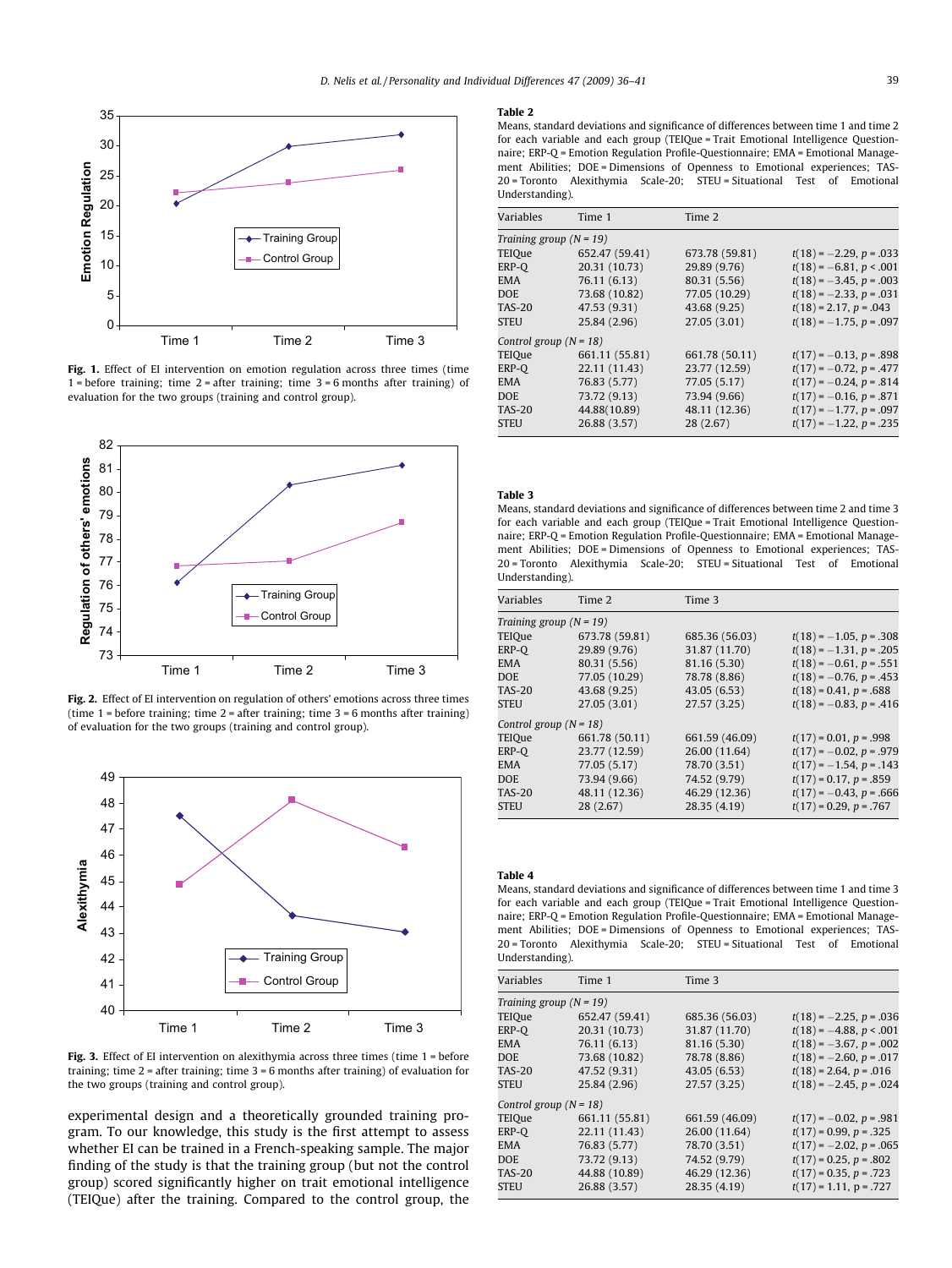<span id="page-3-0"></span>

Fig. 1. Effect of EI intervention on emotion regulation across three times (time  $1 = \text{before training}$ ; time  $2 = \text{after training}$ ; time  $3 = 6 \text{ months after training}$  of evaluation for the two groups (training and control group).



Fig. 2. Effect of EI intervention on regulation of others' emotions across three times (time 1 = before training; time 2 = after training; time 3 = 6 months after training) of evaluation for the two groups (training and control group).



Fig. 3. Effect of EI intervention on alexithymia across three times (time 1 = before training; time  $2$  = after training; time  $3 = 6$  months after training) of evaluation for the two groups (training and control group).

experimental design and a theoretically grounded training program. To our knowledge, this study is the first attempt to assess whether EI can be trained in a French-speaking sample. The major finding of the study is that the training group (but not the control group) scored significantly higher on trait emotional intelligence (TEIQue) after the training. Compared to the control group, the

#### Table 2

Means, standard deviations and significance of differences between time 1 and time 2 for each variable and each group (TEIQue = Trait Emotional Intelligence Questionnaire; ERP-Q = Emotion Regulation Profile-Questionnaire; EMA = Emotional Management Abilities; DOE = Dimensions of Openness to Emotional experiences; TAS-20 = Toronto Alexithymia Scale-20; STEU = Situational Test of Emotional Understanding).

| Variables                 | Time 1         | Time 2         |                              |  |
|---------------------------|----------------|----------------|------------------------------|--|
| Training group $(N = 19)$ |                |                |                              |  |
| TEIQue                    | 652.47 (59.41) | 673.78 (59.81) | $t(18) = -2.29$ , $p = .033$ |  |
| ERP-O                     | 20.31 (10.73)  | 29.89 (9.76)   | $t(18) = -6.81, p < .001$    |  |
| <b>EMA</b>                | 76.11 (6.13)   | 80.31 (5.56)   | $t(18) = -3.45$ , $p = .003$ |  |
| <b>DOE</b>                | 73.68 (10.82)  | 77.05 (10.29)  | $t(18) = -2.33$ , $p = .031$ |  |
| <b>TAS-20</b>             | 47.53 (9.31)   | 43.68 (9.25)   | $t(18) = 2.17$ , $p = .043$  |  |
| <b>STEU</b>               | 25.84 (2.96)   | 27.05 (3.01)   | $t(18) = -1.75$ , $p = .097$ |  |
| Control group $(N = 18)$  |                |                |                              |  |
| TEIQue                    | 661.11 (55.81) | 661.78 (50.11) | $t(17) = -0.13$ , $p = .898$ |  |
| ERP-O                     | 22.11 (11.43)  | 23.77 (12.59)  | $t(17) = -0.72$ , $p = .477$ |  |
| EMA                       | 76.83 (5.77)   | 77.05 (5.17)   | $t(17) = -0.24$ , $p = .814$ |  |
| <b>DOE</b>                | 73.72 (9.13)   | 73.94 (9.66)   | $t(17) = -0.16$ , $p = .871$ |  |
| <b>TAS-20</b>             | 44.88(10.89)   | 48.11 (12.36)  | $t(17) = -1.77$ , $p = .097$ |  |
| <b>STEU</b>               | 26.88 (3.57)   | 28 (2.67)      | $t(17) = -1.22$ , $p = .235$ |  |
|                           |                |                |                              |  |

### Table 3

Means, standard deviations and significance of differences between time 2 and time 3 for each variable and each group (TEIQue = Trait Emotional Intelligence Questionnaire; ERP-Q = Emotion Regulation Profile-Questionnaire; EMA = Emotional Management Abilities; DOE = Dimensions of Openness to Emotional experiences; TAS-20 = Toronto Alexithymia Scale-20; STEU = Situational Test of Emotional Understanding).

| Variables                 | Time 2         | Time 3         |                              |  |
|---------------------------|----------------|----------------|------------------------------|--|
| Training group $(N = 19)$ |                |                |                              |  |
| TEIQue                    | 673.78 (59.81) | 685.36 (56.03) | $t(18) = -1.05$ , $p = .308$ |  |
| ERP-O                     | 29.89 (9.76)   | 31.87 (11.70)  | $t(18) = -1.31, p = .205$    |  |
| <b>EMA</b>                | 80.31 (5.56)   | 81.16 (5.30)   | $t(18) = -0.61$ , $p = .551$ |  |
| <b>DOE</b>                | 77.05 (10.29)  | 78.78 (8.86)   | $t(18) = -0.76$ , $p = .453$ |  |
| <b>TAS-20</b>             | 43.68 (9.25)   | 43.05 (6.53)   | $t(18) = 0.41$ , $p = .688$  |  |
| <b>STEU</b>               | 27.05 (3.01)   | 27.57 (3.25)   | $t(18) = -0.83$ , $p = .416$ |  |
| Control group $(N = 18)$  |                |                |                              |  |
| TEIQue                    | 661.78 (50.11) | 661.59 (46.09) | $t(17) = 0.01$ , $p = .998$  |  |
| ERP-O                     | 23.77 (12.59)  | 26.00 (11.64)  | $t(17) = -0.02$ , $p = .979$ |  |
| EMA                       | 77.05 (5.17)   | 78.70 (3.51)   | $t(17) = -1.54$ , $p = .143$ |  |
| <b>DOE</b>                | 73.94 (9.66)   | 74.52 (9.79)   | $t(17) = 0.17$ , $p = .859$  |  |
| <b>TAS-20</b>             | 48.11 (12.36)  | 46.29 (12.36)  | $t(17) = -0.43$ , $p = .666$ |  |
| <b>STEU</b>               | 28(2.67)       | 28.35 (4.19)   | $t(17) = 0.29$ , $p = .767$  |  |

#### Table 4

Means, standard deviations and significance of differences between time 1 and time 3 for each variable and each group (TEIQue = Trait Emotional Intelligence Questionnaire; ERP-Q = Emotion Regulation Profile-Questionnaire; EMA = Emotional Management Abilities; DOE = Dimensions of Openness to Emotional experiences; TAS-20 = Toronto Alexithymia Scale-20; STEU = Situational Test of Emotional Understanding).

| Variables                 | Time 1         | Time 3         |                              |  |  |
|---------------------------|----------------|----------------|------------------------------|--|--|
| Training group $(N = 19)$ |                |                |                              |  |  |
| TEIQue                    | 652.47 (59.41) | 685.36 (56.03) | $t(18) = -2.25$ , $p = .036$ |  |  |
| ERP-O                     | 20.31 (10.73)  | 31.87 (11.70)  | $t(18) = -4.88$ , $p < .001$ |  |  |
| EMA                       | 76.11 (6.13)   | 81.16 (5.30)   | $t(18) = -3.67$ , $p = .002$ |  |  |
| <b>DOE</b>                | 73.68 (10.82)  | 78.78 (8.86)   | $t(18) = -2.60, p = .017$    |  |  |
| <b>TAS-20</b>             | 47.52 (9.31)   | 43.05 (6.53)   | $t(18) = 2.64$ , $p = .016$  |  |  |
| <b>STEU</b>               | 25.84 (2.96)   | 27.57 (3.25)   | $t(18) = -2.45$ , $p = .024$ |  |  |
| Control group $(N = 18)$  |                |                |                              |  |  |
| TEIQue                    | 661.11 (55.81) | 661.59 (46.09) | $t(17) = -0.02$ , $p = .981$ |  |  |
| ERP-O                     | 22.11 (11.43)  | 26.00 (11.64)  | $t(17) = 0.99$ , $p = .325$  |  |  |
| EMA                       | 76.83 (5.77)   | 78.70 (3.51)   | $t(17) = -2.02$ , $p = .065$ |  |  |
| <b>DOE</b>                | 73.72 (9.13)   | 74.52 (9.79)   | $t(17) = 0.25$ , $p = .802$  |  |  |
| <b>TAS-20</b>             | 44.88 (10.89)  | 46.29 (12.36)  | $t(17) = 0.35, p = .723$     |  |  |
| <b>STEU</b>               | 26.88 (3.57)   | 28.35 (4.19)   | $t(17) = 1.11$ , p = .727    |  |  |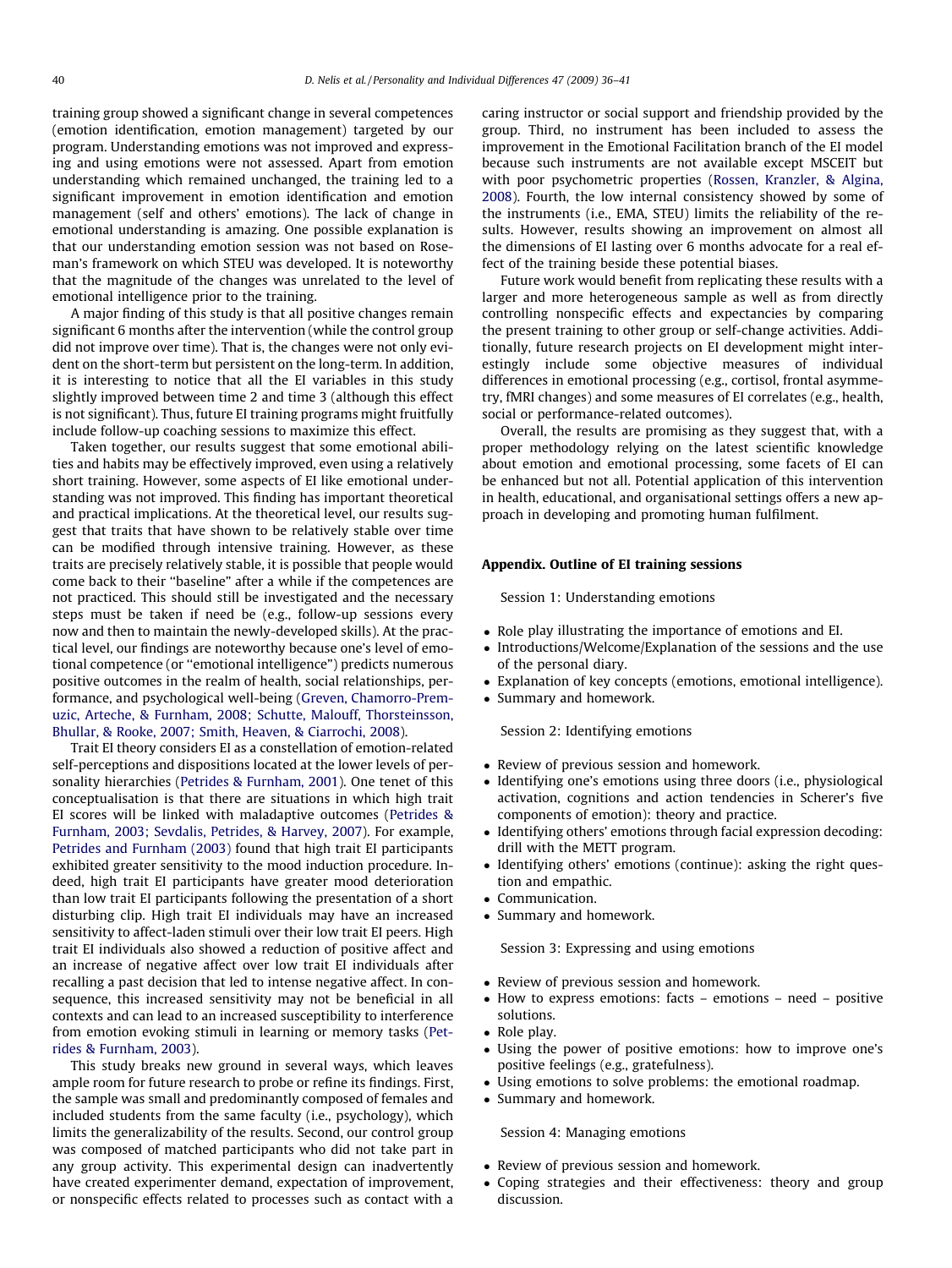training group showed a significant change in several competences (emotion identification, emotion management) targeted by our program. Understanding emotions was not improved and expressing and using emotions were not assessed. Apart from emotion understanding which remained unchanged, the training led to a significant improvement in emotion identification and emotion management (self and others' emotions). The lack of change in emotional understanding is amazing. One possible explanation is that our understanding emotion session was not based on Roseman's framework on which STEU was developed. It is noteworthy that the magnitude of the changes was unrelated to the level of emotional intelligence prior to the training.

A major finding of this study is that all positive changes remain significant 6 months after the intervention (while the control group did not improve over time). That is, the changes were not only evident on the short-term but persistent on the long-term. In addition, it is interesting to notice that all the EI variables in this study slightly improved between time 2 and time 3 (although this effect is not significant). Thus, future EI training programs might fruitfully include follow-up coaching sessions to maximize this effect.

Taken together, our results suggest that some emotional abilities and habits may be effectively improved, even using a relatively short training. However, some aspects of EI like emotional understanding was not improved. This finding has important theoretical and practical implications. At the theoretical level, our results suggest that traits that have shown to be relatively stable over time can be modified through intensive training. However, as these traits are precisely relatively stable, it is possible that people would come back to their ''baseline" after a while if the competences are not practiced. This should still be investigated and the necessary steps must be taken if need be (e.g., follow-up sessions every now and then to maintain the newly-developed skills). At the practical level, our findings are noteworthy because one's level of emotional competence (or ''emotional intelligence") predicts numerous positive outcomes in the realm of health, social relationships, performance, and psychological well-being ([Greven, Chamorro-Prem](#page-5-0)[uzic, Arteche, & Furnham, 2008; Schutte, Malouff, Thorsteinsson,](#page-5-0) [Bhullar, & Rooke, 2007; Smith, Heaven, & Ciarrochi, 2008](#page-5-0)).

Trait EI theory considers EI as a constellation of emotion-related self-perceptions and dispositions located at the lower levels of personality hierarchies ([Petrides & Furnham, 2001\)](#page-5-0). One tenet of this conceptualisation is that there are situations in which high trait EI scores will be linked with maladaptive outcomes ([Petrides &](#page-5-0) [Furnham, 2003; Sevdalis, Petrides, & Harvey, 2007\)](#page-5-0). For example, [Petrides and Furnham \(2003\)](#page-5-0) found that high trait EI participants exhibited greater sensitivity to the mood induction procedure. Indeed, high trait EI participants have greater mood deterioration than low trait EI participants following the presentation of a short disturbing clip. High trait EI individuals may have an increased sensitivity to affect-laden stimuli over their low trait EI peers. High trait EI individuals also showed a reduction of positive affect and an increase of negative affect over low trait EI individuals after recalling a past decision that led to intense negative affect. In consequence, this increased sensitivity may not be beneficial in all contexts and can lead to an increased susceptibility to interference from emotion evoking stimuli in learning or memory tasks [\(Pet](#page-5-0)[rides & Furnham, 2003\)](#page-5-0).

This study breaks new ground in several ways, which leaves ample room for future research to probe or refine its findings. First, the sample was small and predominantly composed of females and included students from the same faculty (i.e., psychology), which limits the generalizability of the results. Second, our control group was composed of matched participants who did not take part in any group activity. This experimental design can inadvertently have created experimenter demand, expectation of improvement, or nonspecific effects related to processes such as contact with a caring instructor or social support and friendship provided by the group. Third, no instrument has been included to assess the improvement in the Emotional Facilitation branch of the EI model because such instruments are not available except MSCEIT but with poor psychometric properties ([Rossen, Kranzler, & Algina,](#page-5-0) [2008\)](#page-5-0). Fourth, the low internal consistency showed by some of the instruments (i.e., EMA, STEU) limits the reliability of the results. However, results showing an improvement on almost all the dimensions of EI lasting over 6 months advocate for a real effect of the training beside these potential biases.

Future work would benefit from replicating these results with a larger and more heterogeneous sample as well as from directly controlling nonspecific effects and expectancies by comparing the present training to other group or self-change activities. Additionally, future research projects on EI development might interestingly include some objective measures of individual differences in emotional processing (e.g., cortisol, frontal asymmetry, fMRI changes) and some measures of EI correlates (e.g., health, social or performance-related outcomes).

Overall, the results are promising as they suggest that, with a proper methodology relying on the latest scientific knowledge about emotion and emotional processing, some facets of EI can be enhanced but not all. Potential application of this intervention in health, educational, and organisational settings offers a new approach in developing and promoting human fulfilment.

## Appendix. Outline of EI training sessions

Session 1: Understanding emotions

- Role play illustrating the importance of emotions and EI.
- Introductions/Welcome/Explanation of the sessions and the use of the personal diary.
- Explanation of key concepts (emotions, emotional intelligence).
- Summary and homework.

# Session 2: Identifying emotions

- Review of previous session and homework.
- Identifying one's emotions using three doors (i.e., physiological activation, cognitions and action tendencies in Scherer's five components of emotion): theory and practice.
- Identifying others' emotions through facial expression decoding: drill with the METT program.
- Identifying others' emotions (continue): asking the right question and empathic.
- Communication.
- Summary and homework.

Session 3: Expressing and using emotions

- Review of previous session and homework.
- How to express emotions: facts emotions need positive solutions.
- Role play.
- Using the power of positive emotions: how to improve one's positive feelings (e.g., gratefulness).
- Using emotions to solve problems: the emotional roadmap.
- Summary and homework.

# Session 4: Managing emotions

- Review of previous session and homework.
- Coping strategies and their effectiveness: theory and group discussion.